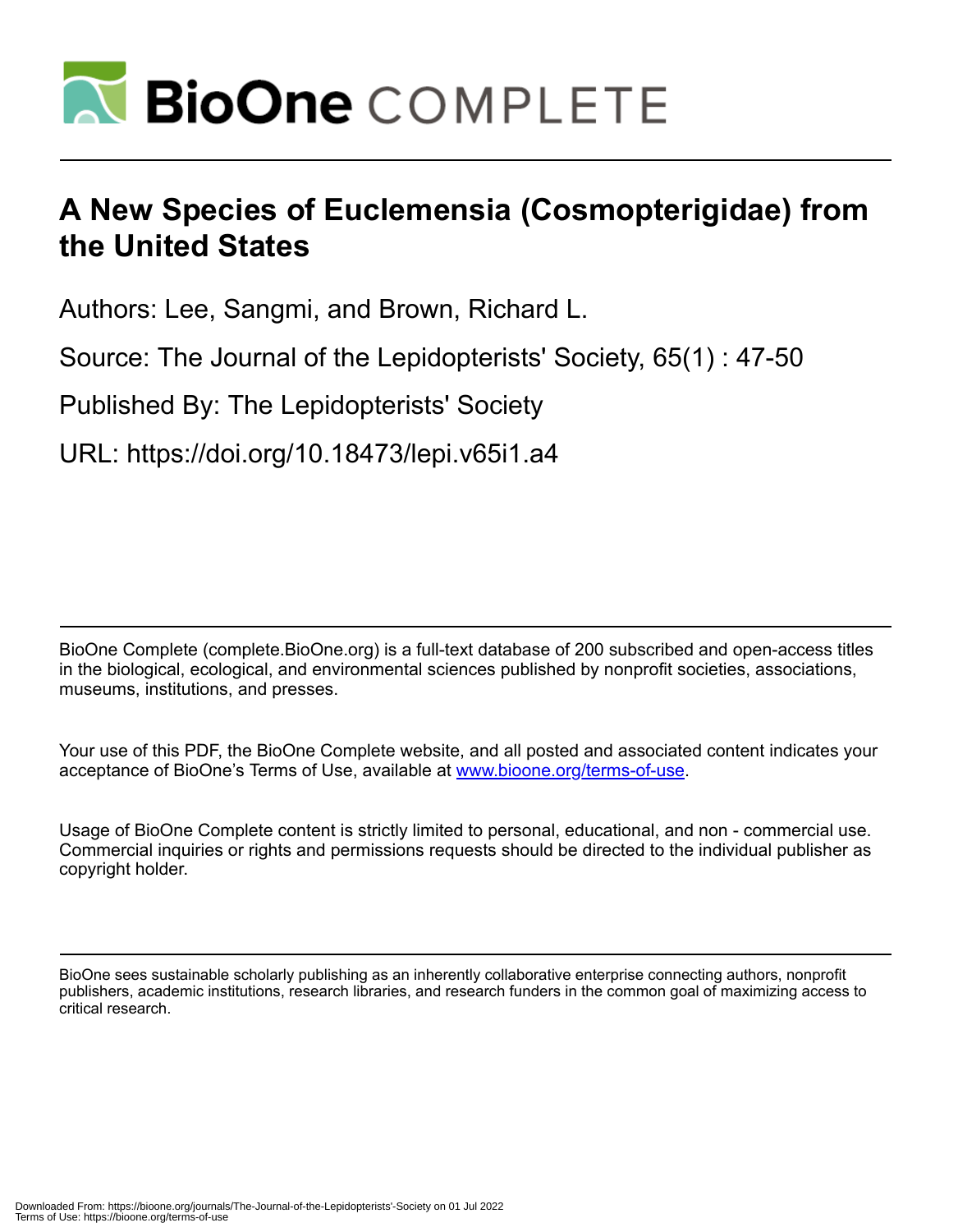

# **A New Species of Euclemensia (Cosmopterigidae) from the United States**

Authors: Lee, Sangmi, and Brown, Richard L.

Source: The Journal of the Lepidopterists' Society, 65(1) : 47-50

Published By: The Lepidopterists' Society

URL: https://doi.org/10.18473/lepi.v65i1.a4

BioOne Complete (complete.BioOne.org) is a full-text database of 200 subscribed and open-access titles in the biological, ecological, and environmental sciences published by nonprofit societies, associations, museums, institutions, and presses.

Your use of this PDF, the BioOne Complete website, and all posted and associated content indicates your acceptance of BioOne's Terms of Use, available at www.bioone.org/terms-of-use.

Usage of BioOne Complete content is strictly limited to personal, educational, and non - commercial use. Commercial inquiries or rights and permissions requests should be directed to the individual publisher as copyright holder.

BioOne sees sustainable scholarly publishing as an inherently collaborative enterprise connecting authors, nonprofit publishers, academic institutions, research libraries, and research funders in the common goal of maximizing access to critical research.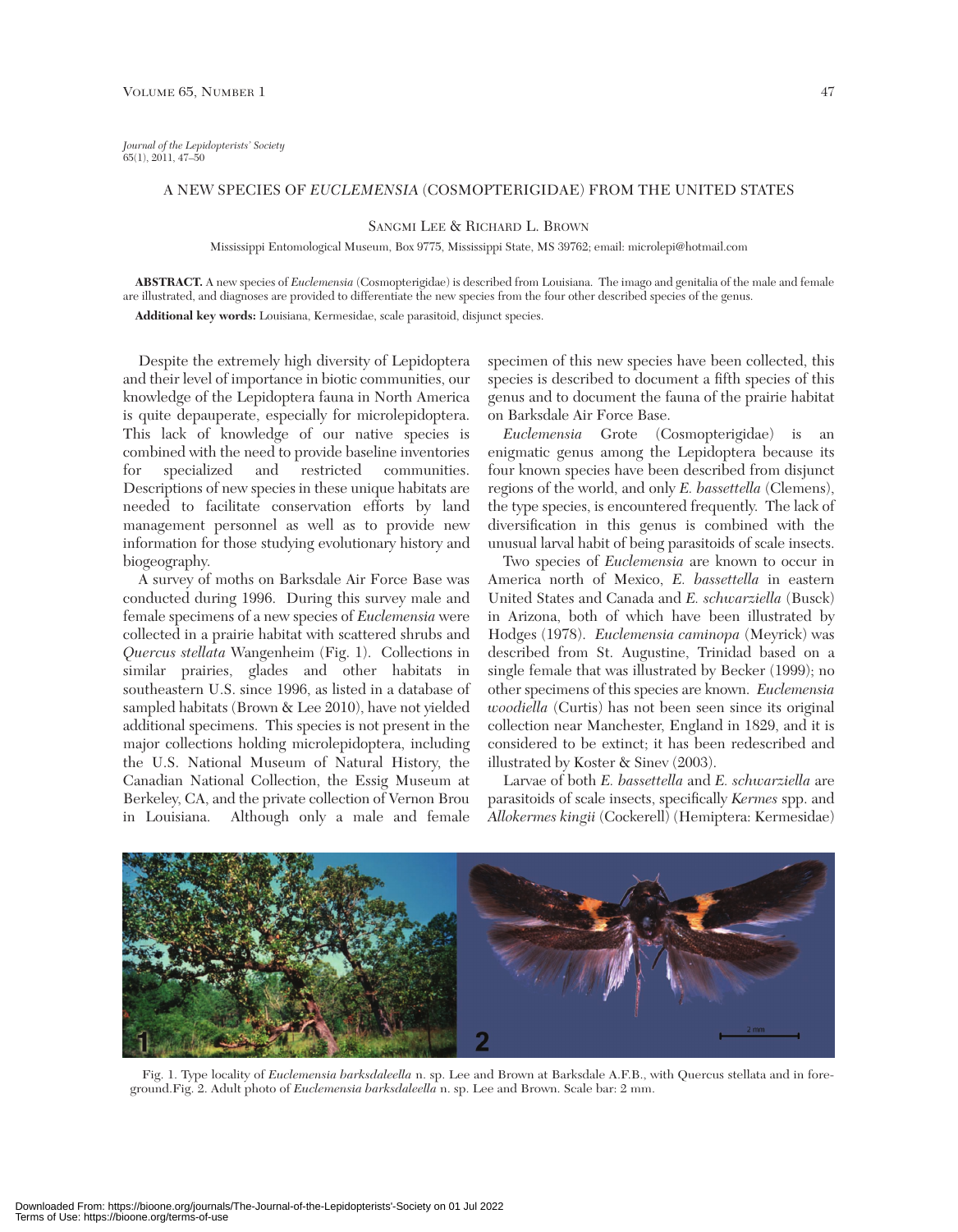*Journal of the Lepidopterists' Society* 65(1), 2011, 47–50

## A NEW SPECIES OF *EUCLEMENSIA* (COSMOPTERIGIDAE) FROM THE UNITED STATES

## SANGMI LEE & RICHARD L. BROWN

Mississippi Entomological Museum, Box 9775, Mississippi State, MS 39762; email: microlepi@hotmail.com

**ABSTRACT.** A new species of *Euclemensia* (Cosmopterigidae) is described from Louisiana. The imago and genitalia of the male and female are illustrated, and diagnoses are provided to differentiate the new species from the four other described species of the genus. **Additional key words:** Louisiana, Kermesidae, scale parasitoid, disjunct species.

Despite the extremely high diversity of Lepidoptera and their level of importance in biotic communities, our knowledge of the Lepidoptera fauna in North America is quite depauperate, especially for microlepidoptera. This lack of knowledge of our native species is combined with the need to provide baseline inventories for specialized and restricted communities. Descriptions of new species in these unique habitats are needed to facilitate conservation efforts by land management personnel as well as to provide new information for those studying evolutionary history and biogeography.

A survey of moths on Barksdale Air Force Base was conducted during 1996. During this survey male and female specimens of a new species of *Euclemensia* were collected in a prairie habitat with scattered shrubs and *Quercus stellata* Wangenheim (Fig. 1). Collections in similar prairies, glades and other habitats in southeastern U.S. since 1996, as listed in a database of sampled habitats (Brown & Lee 2010), have not yielded additional specimens. This species is not present in the major collections holding microlepidoptera, including the U.S. National Museum of Natural History, the Canadian National Collection, the Essig Museum at Berkeley, CA, and the private collection of Vernon Brou in Louisiana. Although only a male and female

specimen of this new species have been collected, this species is described to document a fifth species of this genus and to document the fauna of the prairie habitat on Barksdale Air Force Base.

*Euclemensia* Grote (Cosmopterigidae) is an enigmatic genus among the Lepidoptera because its four known species have been described from disjunct regions of the world, and only *E. bassettella* (Clemens), the type species, is encountered frequently. The lack of diversification in this genus is combined with the unusual larval habit of being parasitoids of scale insects.

Two species of *Euclemensia* are known to occur in America north of Mexico, *E. bassettella* in eastern United States and Canada and *E. schwarziella* (Busck) in Arizona, both of which have been illustrated by Hodges (1978). *Euclemensia caminopa* (Meyrick) was described from St. Augustine, Trinidad based on a single female that was illustrated by Becker (1999); no other specimens of this species are known. *Euclemensia woodiella* (Curtis) has not been seen since its original collection near Manchester, England in 1829, and it is considered to be extinct; it has been redescribed and illustrated by Koster & Sinev (2003).

Larvae of both *E. bassettella* and *E. schwarziella* are parasitoids of scale insects, specifically *Kermes* spp. and *Allokermes kingii* (Cockerell) (Hemiptera: Kermesidae)



Fig. 1. Type locality of *Euclemensia barksdaleella* n. sp. Lee and Brown at Barksdale A.F.B., with Quercus stellata and in foreground.Fig. 2. Adult photo of *Euclemensia barksdaleella* n. sp. Lee and Brown. Scale bar: 2 mm.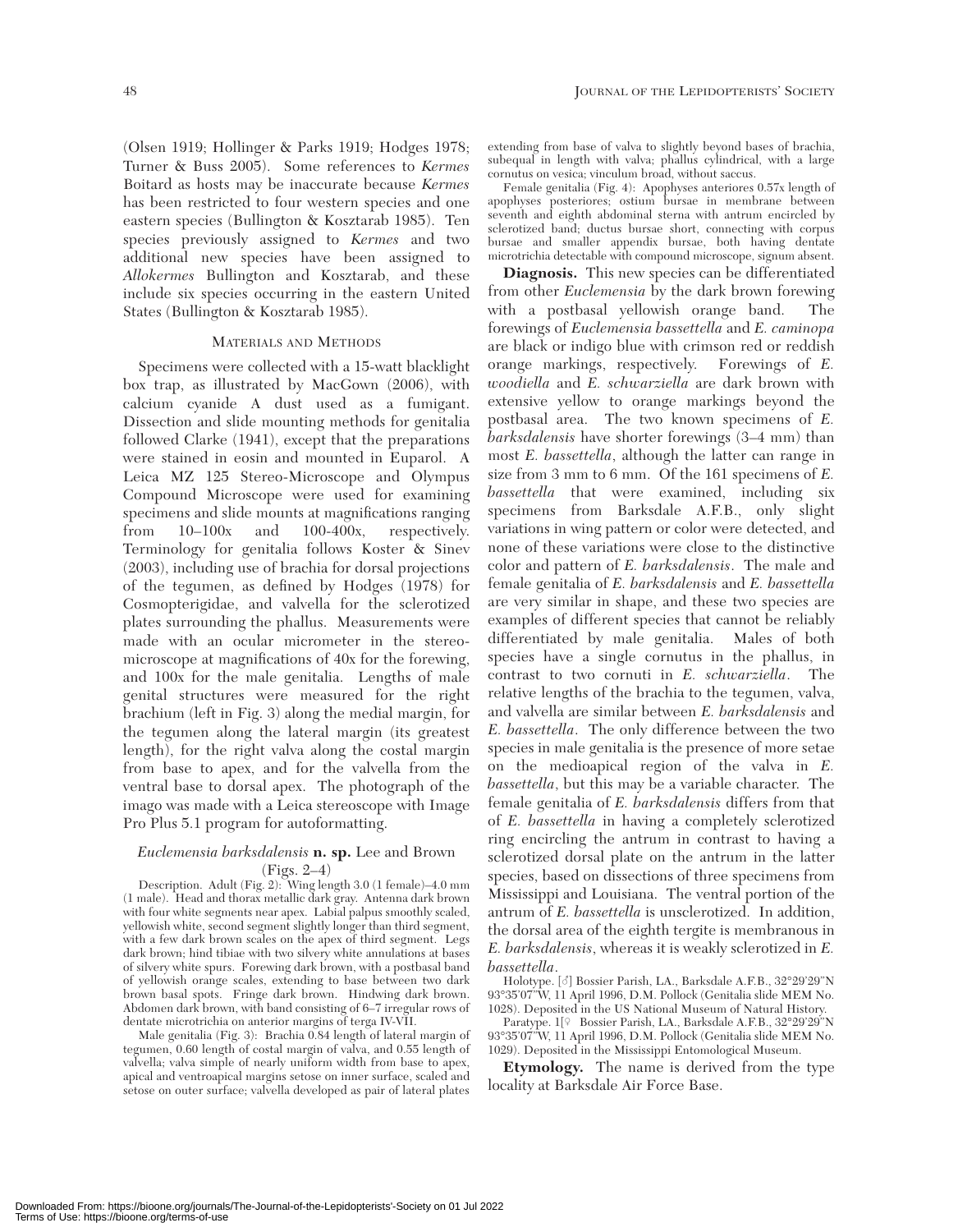(Olsen 1919; Hollinger & Parks 1919; Hodges 1978; Turner & Buss 2005). Some references to *Kermes* Boitard as hosts may be inaccurate because *Kermes* has been restricted to four western species and one eastern species (Bullington & Kosztarab 1985). Ten species previously assigned to *Kermes* and two additional new species have been assigned to *Allokermes* Bullington and Kosztarab, and these include six species occurring in the eastern United States (Bullington & Kosztarab 1985).

#### MATERIALS AND METHODS

Specimens were collected with a 15-watt blacklight box trap, as illustrated by MacGown (2006), with calcium cyanide A dust used as a fumigant. Dissection and slide mounting methods for genitalia followed Clarke (1941), except that the preparations were stained in eosin and mounted in Euparol. A Leica MZ 125 Stereo-Microscope and Olympus Compound Microscope were used for examining specimens and slide mounts at magnifications ranging from 10–100x and 100-400x, respectively. Terminology for genitalia follows Koster & Sinev (2003), including use of brachia for dorsal projections of the tegumen, as defined by Hodges (1978) for Cosmopterigidae, and valvella for the sclerotized plates surrounding the phallus. Measurements were made with an ocular micrometer in the stereomicroscope at magnifications of 40x for the forewing, and 100x for the male genitalia. Lengths of male genital structures were measured for the right brachium (left in Fig. 3) along the medial margin, for the tegumen along the lateral margin (its greatest length), for the right valva along the costal margin from base to apex, and for the valvella from the ventral base to dorsal apex. The photograph of the imago was made with a Leica stereoscope with Image Pro Plus 5.1 program for autoformatting.

## *Euclemensia barksdalensis* **n. sp.** Lee and Brown (Figs. 2–4)

Description. Adult (Fig. 2): Wing length 3.0 (1 female)–4.0 mm (1 male). Head and thorax metallic dark gray. Antenna dark brown with four white segments near apex. Labial palpus smoothly scaled, yellowish white, second segment slightly longer than third segment, with a few dark brown scales on the apex of third segment. Legs dark brown; hind tibiae with two silvery white annulations at bases of silvery white spurs. Forewing dark brown, with a postbasal band of yellowish orange scales, extending to base between two dark brown basal spots. Fringe dark brown. Hindwing dark brown. Abdomen dark brown, with band consisting of 6–7 irregular rows of dentate microtrichia on anterior margins of terga IV-VII.

Male genitalia (Fig. 3): Brachia 0.84 length of lateral margin of tegumen, 0.60 length of costal margin of valva, and 0.55 length of valvella; valva simple of nearly uniform width from base to apex, apical and ventroapical margins setose on inner surface, scaled and setose on outer surface; valvella developed as pair of lateral plates

extending from base of valva to slightly beyond bases of brachia, subequal in length with valva; phallus cylindrical, with a large cornutus on vesica; vinculum broad, without saccus.

Female genitalia (Fig. 4): Apophyses anteriores 0.57x length of apophyses posteriores; ostium bursae in membrane between seventh and eighth abdominal sterna with antrum encircled by sclerotized band; ductus bursae short, connecting with corpus bursae and smaller appendix bursae, both having dentate microtrichia detectable with compound microscope, signum absent.

**Diagnosis.** This new species can be differentiated from other *Euclemensia* by the dark brown forewing with a postbasal yellowish orange band. The forewings of *Euclemensia bassettella* and *E. caminopa* are black or indigo blue with crimson red or reddish orange markings, respectively. Forewings of *E. woodiella* and *E. schwarziella* are dark brown with extensive yellow to orange markings beyond the postbasal area. The two known specimens of *E. barksdalensis* have shorter forewings (3–4 mm) than most *E. bassettella*, although the latter can range in size from 3 mm to 6 mm. Of the 161 specimens of *E. bassettella* that were examined, including six specimens from Barksdale A.F.B., only slight variations in wing pattern or color were detected, and none of these variations were close to the distinctive color and pattern of *E. barksdalensis*. The male and female genitalia of *E. barksdalensis* and *E. bassettella* are very similar in shape, and these two species are examples of different species that cannot be reliably differentiated by male genitalia. Males of both species have a single cornutus in the phallus, in contrast to two cornuti in *E. schwarziella*. The relative lengths of the brachia to the tegumen, valva, and valvella are similar between *E. barksdalensis* and *E. bassettella*. The only difference between the two species in male genitalia is the presence of more setae on the medioapical region of the valva in *E. bassettella*, but this may be a variable character. The female genitalia of *E. barksdalensis* differs from that of *E. bassettella* in having a completely sclerotized ring encircling the antrum in contrast to having a sclerotized dorsal plate on the antrum in the latter species, based on dissections of three specimens from Mississippi and Louisiana. The ventral portion of the antrum of *E. bassettella* is unsclerotized. In addition, the dorsal area of the eighth tergite is membranous in *E. barksdalensis*, whereas it is weakly sclerotized in *E.*

*bassettella.*<br>Holotype. [♂] Bossier Parish, LA., Barksdale A.F.B., 32°29'29"N Holotype. [m] Bossier Parish, LA., Barksdale A.F.B., 32°29'29"N 93°35'07"W, 11 April 1996, D.M. Pollock (Genitalia slide MEM No. 1028). Deposited in the US National Museum of Natural History.

Paratype. 1[9 Bossier Parish, LA., Barksdale A.F.B., 32°29'29"N 93°35'07"W, 11 April 1996, D.M. Pollock (Genitalia slide MEM No. 1029). Deposited in the Mississippi Entomological Museum.

**Etymology.** The name is derived from the type locality at Barksdale Air Force Base.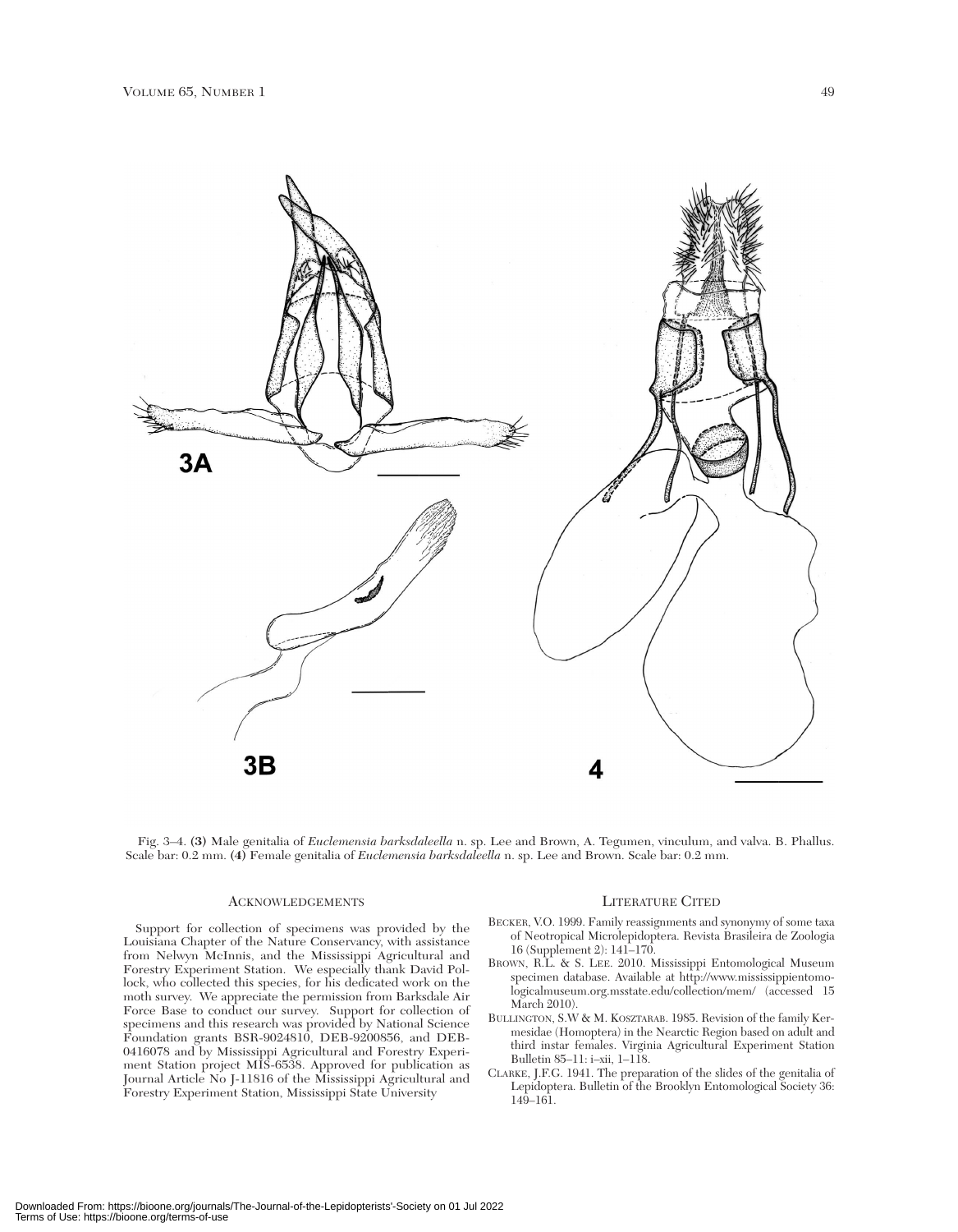

Fig. 3–4. **(3)** Male genitalia of *Euclemensia barksdaleella* n. sp. Lee and Brown, A. Tegumen, vinculum, and valva. B. Phallus. Scale bar: 0.2 mm. **(4)** Female genitalia of *Euclemensia barksdaleella* n. sp. Lee and Brown. Scale bar: 0.2 mm.

#### ACKNOWLEDGEMENTS

Support for collection of specimens was provided by the Louisiana Chapter of the Nature Conservancy, with assistance from Nelwyn McInnis, and the Mississippi Agricultural and Forestry Experiment Station. We especially thank David Pollock, who collected this species, for his dedicated work on the moth survey. We appreciate the permission from Barksdale Air Force Base to conduct our survey. Support for collection of specimens and this research was provided by National Science Foundation grants BSR-9024810, DEB-9200856, and DEB-0416078 and by Mississippi Agricultural and Forestry Experiment Station project MIS-6538. Approved for publication as Journal Article No J-11816 of the Mississippi Agricultural and Forestry Experiment Station, Mississippi State University

#### LITERATURE CITED

- BECKER, V.O. 1999. Family reassignments and synonymy of some taxa of Neotropical Microlepidoptera. Revista Brasileira de Zoologia 16 (Supplement 2): 141–170.
- BROWN, R.L. & S. LEE. 2010. Mississippi Entomological Museum specimen database. Available at http://www.mississippientomologicalmuseum.org.msstate.edu/collection/mem/ (accessed 15 March 2010).
- BULLINGTON, S.W & M. KOSZTARAB. 1985. Revision of the family Kermesidae (Homoptera) in the Nearctic Region based on adult and third instar females. Virginia Agricultural Experiment Station Bulletin 85–11: i–xii, 1–118.
- CLARKE, J.F.G. 1941. The preparation of the slides of the genitalia of Lepidoptera. Bulletin of the Brooklyn Entomological Society 36: 149–161.